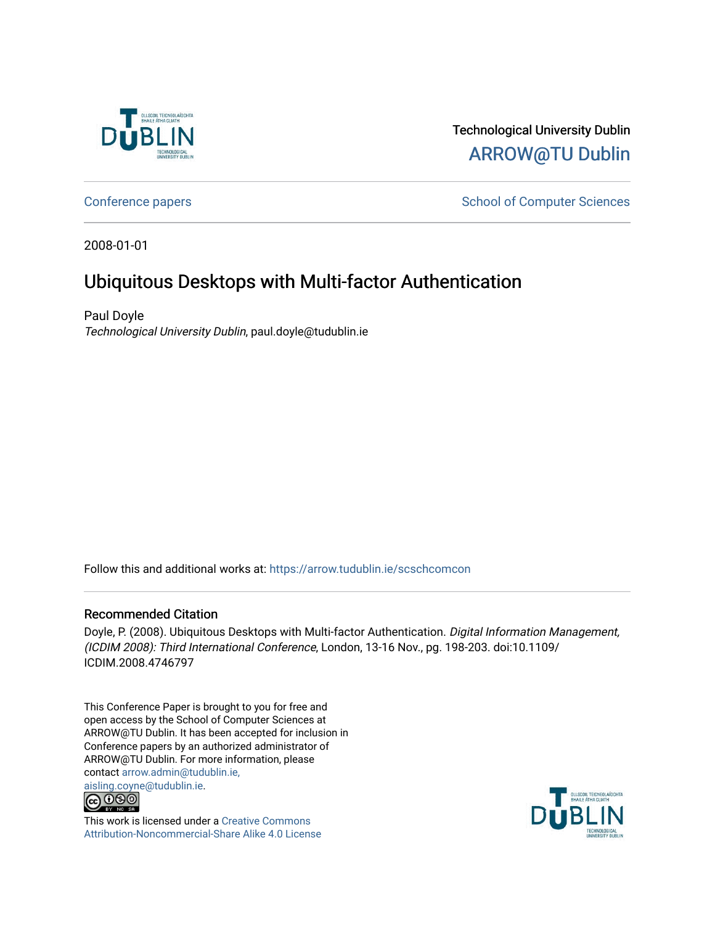

Technological University Dublin [ARROW@TU Dublin](https://arrow.tudublin.ie/) 

[Conference papers](https://arrow.tudublin.ie/scschcomcon) **School of Computer Sciences** School of Computer Sciences

2008-01-01

# Ubiquitous Desktops with Multi-factor Authentication

Paul Doyle Technological University Dublin, paul.doyle@tudublin.ie

Follow this and additional works at: [https://arrow.tudublin.ie/scschcomcon](https://arrow.tudublin.ie/scschcomcon?utm_source=arrow.tudublin.ie%2Fscschcomcon%2F84&utm_medium=PDF&utm_campaign=PDFCoverPages)

## Recommended Citation

Doyle, P. (2008). Ubiquitous Desktops with Multi-factor Authentication. Digital Information Management, (ICDIM 2008): Third International Conference, London, 13-16 Nov., pg. 198-203. doi:10.1109/ ICDIM.2008.4746797

This Conference Paper is brought to you for free and open access by the School of Computer Sciences at ARROW@TU Dublin. It has been accepted for inclusion in Conference papers by an authorized administrator of ARROW@TU Dublin. For more information, please contact [arrow.admin@tudublin.ie,](mailto:arrow.admin@tudublin.ie,%20aisling.coyne@tudublin.ie)  [aisling.coyne@tudublin.ie.](mailto:arrow.admin@tudublin.ie,%20aisling.coyne@tudublin.ie)<br>© 090



This work is licensed under a [Creative Commons](http://creativecommons.org/licenses/by-nc-sa/4.0/) [Attribution-Noncommercial-Share Alike 4.0 License](http://creativecommons.org/licenses/by-nc-sa/4.0/)

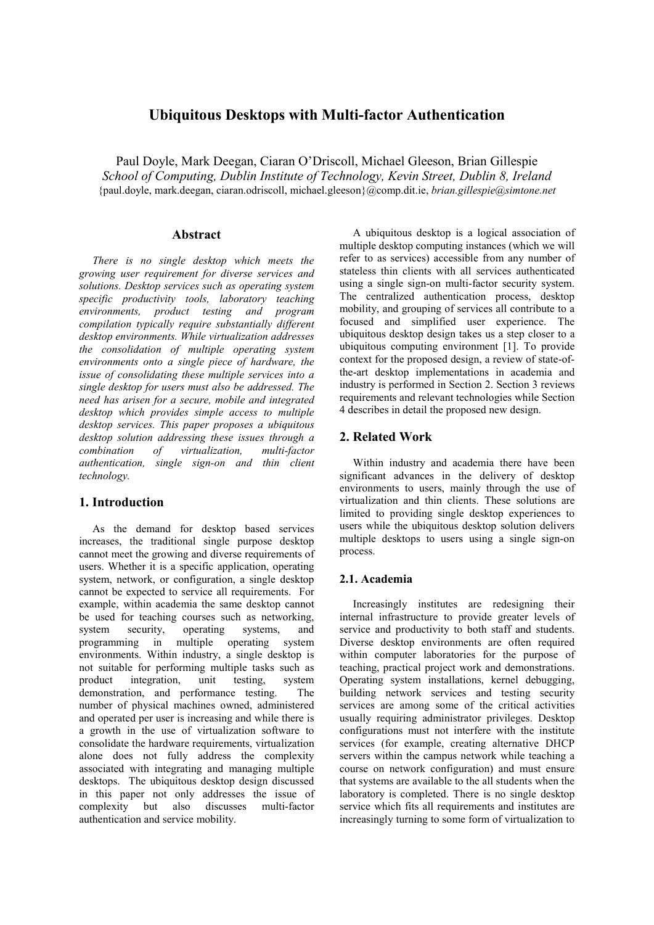## **Ubiquitous Desktops with Multi-factor Authentication**

Paul Doyle, Mark Deegan, Ciaran O'Driscoll, Michael Gleeson, Brian Gillespie *School of Computing, Dublin Institute of Technology, Kevin Street, Dublin 8, Ireland*  {paul.doyle, mark.deegan, ciaran.odriscoll, michael.gleeson}@comp.dit.ie, *brian.gillespie@simtone.net*

#### **Abstract**

*There is no single desktop which meets the growing user requirement for diverse services and solutions. Desktop services such as operating system specific productivity tools, laboratory teaching environments, product testing and program compilation typically require substantially different desktop environments. While virtualization addresses the consolidation of multiple operating system environments onto a single piece of hardware, the issue of consolidating these multiple services into a single desktop for users must also be addressed. The need has arisen for a secure, mobile and integrated desktop which provides simple access to multiple desktop services. This paper proposes a ubiquitous desktop solution addressing these issues through a combination of virtualization, multi-factor authentication, single sign-on and thin client technology.* 

## **1. Introduction**

As the demand for desktop based services increases, the traditional single purpose desktop cannot meet the growing and diverse requirements of users. Whether it is a specific application, operating system, network, or configuration, a single desktop cannot be expected to service all requirements. For example, within academia the same desktop cannot be used for teaching courses such as networking, system security, operating systems, and programming in multiple operating system environments. Within industry, a single desktop is not suitable for performing multiple tasks such as product integration, unit testing, system demonstration, and performance testing. The number of physical machines owned, administered and operated per user is increasing and while there is a growth in the use of virtualization software to consolidate the hardware requirements, virtualization alone does not fully address the complexity associated with integrating and managing multiple desktops. The ubiquitous desktop design discussed in this paper not only addresses the issue of complexity but also discusses multi-factor authentication and service mobility.

A ubiquitous desktop is a logical association of multiple desktop computing instances (which we will refer to as services) accessible from any number of stateless thin clients with all services authenticated using a single sign-on multi-factor security system. The centralized authentication process, desktop mobility, and grouping of services all contribute to a focused and simplified user experience. The ubiquitous desktop design takes us a step closer to a ubiquitous computing environment [1]. To provide context for the proposed design, a review of state-ofthe-art desktop implementations in academia and industry is performed in Section 2. Section 3 reviews requirements and relevant technologies while Section 4 describes in detail the proposed new design.

## **2. Related Work**

Within industry and academia there have been significant advances in the delivery of desktop environments to users, mainly through the use of virtualization and thin clients. These solutions are limited to providing single desktop experiences to users while the ubiquitous desktop solution delivers multiple desktops to users using a single sign-on process.

#### **2.1. Academia**

Increasingly institutes are redesigning their internal infrastructure to provide greater levels of service and productivity to both staff and students. Diverse desktop environments are often required within computer laboratories for the purpose of teaching, practical project work and demonstrations. Operating system installations, kernel debugging, building network services and testing security services are among some of the critical activities usually requiring administrator privileges. Desktop configurations must not interfere with the institute services (for example, creating alternative DHCP servers within the campus network while teaching a course on network configuration) and must ensure that systems are available to the all students when the laboratory is completed. There is no single desktop service which fits all requirements and institutes are increasingly turning to some form of virtualization to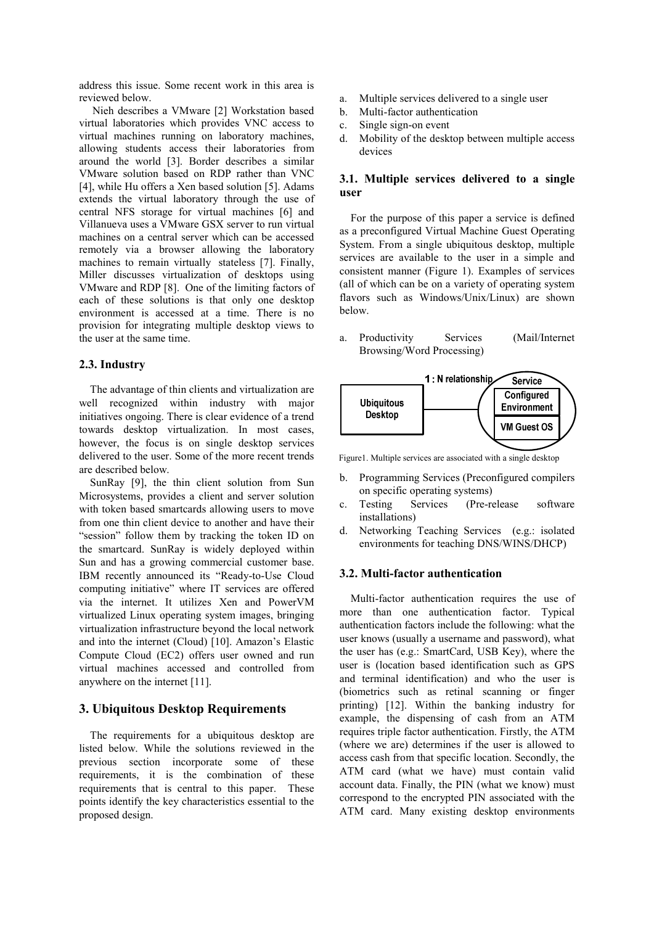address this issue. Some recent work in this area is reviewed below.

Nieh describes a VMware [2] Workstation based virtual laboratories which provides VNC access to virtual machines running on laboratory machines, allowing students access their laboratories from around the world [3]. Border describes a similar VMware solution based on RDP rather than VNC [4], while Hu offers a Xen based solution [5]. Adams extends the virtual laboratory through the use of central NFS storage for virtual machines [6] and Villanueva uses a VMware GSX server to run virtual machines on a central server which can be accessed remotely via a browser allowing the laboratory machines to remain virtually stateless [7]. Finally, Miller discusses virtualization of desktops using VMware and RDP [8]. One of the limiting factors of each of these solutions is that only one desktop environment is accessed at a time. There is no provision for integrating multiple desktop views to the user at the same time.

#### **2.3. Industry**

The advantage of thin clients and virtualization are well recognized within industry with major initiatives ongoing. There is clear evidence of a trend towards desktop virtualization. In most cases, however, the focus is on single desktop services delivered to the user. Some of the more recent trends are described below.

SunRay [9], the thin client solution from Sun Microsystems, provides a client and server solution with token based smartcards allowing users to move from one thin client device to another and have their "session" follow them by tracking the token ID on the smartcard. SunRay is widely deployed within Sun and has a growing commercial customer base. IBM recently announced its "Ready-to-Use Cloud computing initiative" where IT services are offered via the internet. It utilizes Xen and PowerVM virtualized Linux operating system images, bringing virtualization infrastructure beyond the local network and into the internet (Cloud) [10]. Amazon's Elastic Compute Cloud (EC2) offers user owned and run virtual machines accessed and controlled from anywhere on the internet [11].

#### **3. Ubiquitous Desktop Requirements**

The requirements for a ubiquitous desktop are listed below. While the solutions reviewed in the previous section incorporate some of these requirements, it is the combination of these requirements that is central to this paper. These points identify the key characteristics essential to the proposed design.

- a. Multiple services delivered to a single user
- b. Multi-factor authentication
- c. Single sign-on event
- d. Mobility of the desktop between multiple access devices

### **3.1. Multiple services delivered to a single user**

For the purpose of this paper a service is defined as a preconfigured Virtual Machine Guest Operating System. From a single ubiquitous desktop, multiple services are available to the user in a simple and consistent manner (Figure 1). Examples of services (all of which can be on a variety of operating system flavors such as Windows/Unix/Linux) are shown below.

a. Productivity Services (Mail/Internet Browsing/Word Processing)



Figure1. Multiple services are associated with a single desktop

- b. Programming Services (Preconfigured compilers on specific operating systems)
- c. Testing Services (Pre-release software installations)
- d. Networking Teaching Services (e.g.: isolated environments for teaching DNS/WINS/DHCP)

#### **3.2. Multi-factor authentication**

Multi-factor authentication requires the use of more than one authentication factor. Typical authentication factors include the following: what the user knows (usually a username and password), what the user has (e.g.: SmartCard, USB Key), where the user is (location based identification such as GPS and terminal identification) and who the user is (biometrics such as retinal scanning or finger printing) [12]. Within the banking industry for example, the dispensing of cash from an ATM requires triple factor authentication. Firstly, the ATM (where we are) determines if the user is allowed to access cash from that specific location. Secondly, the ATM card (what we have) must contain valid account data. Finally, the PIN (what we know) must correspond to the encrypted PIN associated with the ATM card. Many existing desktop environments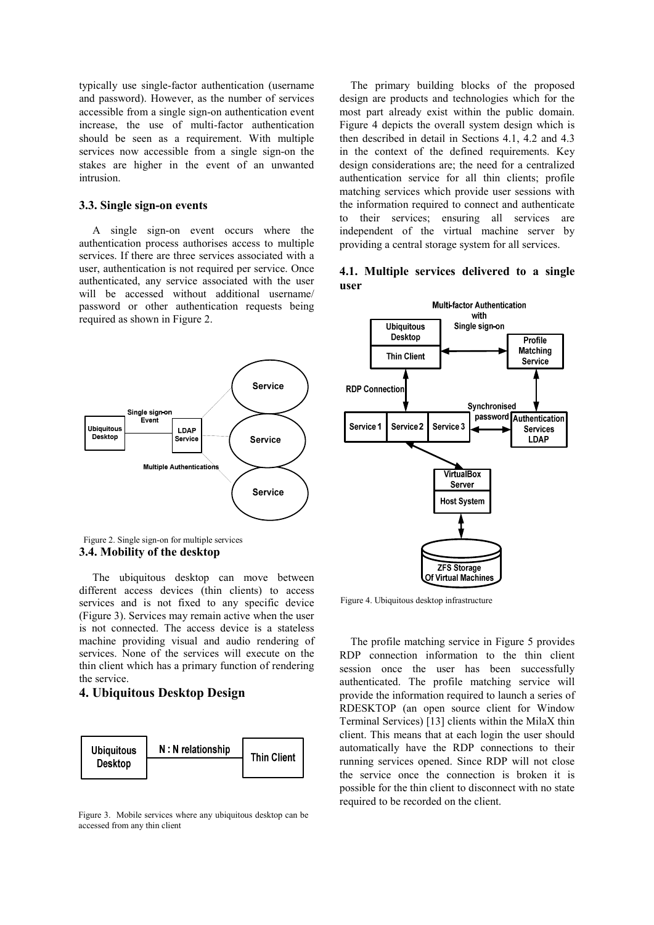typically use single-factor authentication (username and password). However, as the number of services accessible from a single sign-on authentication event increase, the use of multi-factor authentication should be seen as a requirement. With multiple services now accessible from a single sign-on the stakes are higher in the event of an unwanted intrusion.

#### **3.3. Single sign-on events**

A single sign-on event occurs where the authentication process authorises access to multiple services. If there are three services associated with a user, authentication is not required per service. Once authenticated, any service associated with the user will be accessed without additional username/ password or other authentication requests being required as shown in Figure 2.



**3.4. Mobility of the desktop**  Figure 2. Single sign-on for multiple services

The ubiquitous desktop can move between different access devices (thin clients) to access services and is not fixed to any specific device (Figure 3). Services may remain active when the user is not connected. The access device is a stateless machine providing visual and audio rendering of services. None of the services will execute on the thin client which has a primary function of rendering the service.

## **4. Ubiquitous Desktop Design**



Figure 3. Mobile services where any ubiquitous desktop can be accessed from any thin client

The primary building blocks of the proposed design are products and technologies which for the most part already exist within the public domain. Figure 4 depicts the overall system design which is then described in detail in Sections 4.1, 4.2 and 4.3 in the context of the defined requirements. Key design considerations are; the need for a centralized authentication service for all thin clients; profile matching services which provide user sessions with the information required to connect and authenticate to their services; ensuring all services are independent of the virtual machine server by providing a central storage system for all services.





Figure 4. Ubiquitous desktop infrastructure

The profile matching service in Figure 5 provides RDP connection information to the thin client session once the user has been successfully authenticated. The profile matching service will provide the information required to launch a series of RDESKTOP (an open source client for Window Terminal Services) [13] clients within the MilaX thin client. This means that at each login the user should automatically have the RDP connections to their running services opened. Since RDP will not close the service once the connection is broken it is possible for the thin client to disconnect with no state required to be recorded on the client.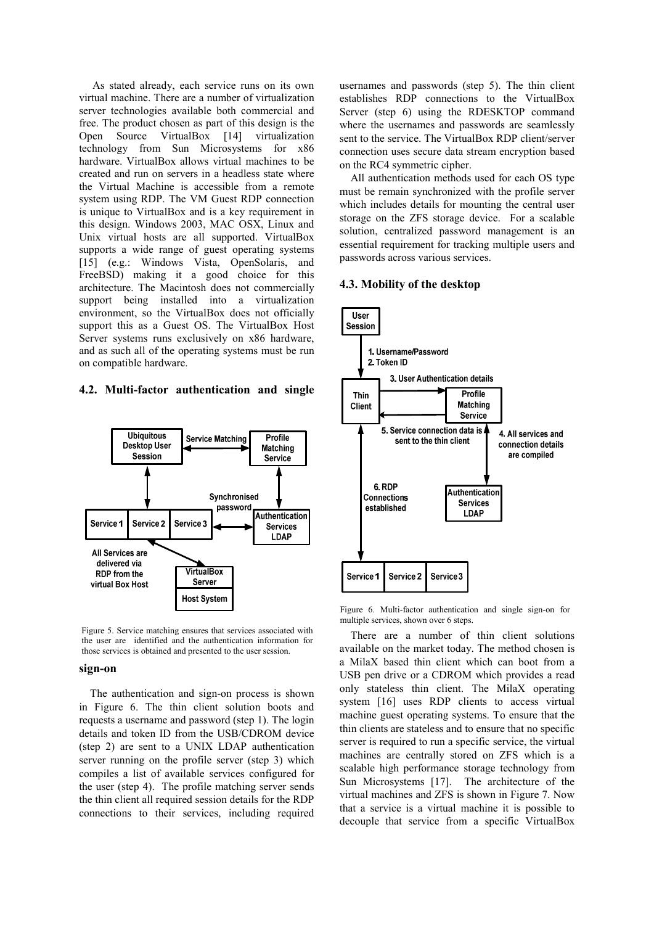As stated already, each service runs on its own virtual machine. There are a number of virtualization server technologies available both commercial and free. The product chosen as part of this design is the Open Source VirtualBox [14] virtualization technology from Sun Microsystems for x86 hardware. VirtualBox allows virtual machines to be created and run on servers in a headless state where the Virtual Machine is accessible from a remote system using RDP. The VM Guest RDP connection is unique to VirtualBox and is a key requirement in this design. Windows 2003, MAC OSX, Linux and Unix virtual hosts are all supported. VirtualBox supports a wide range of guest operating systems [15] (e.g.: Windows Vista, OpenSolaris, and FreeBSD) making it a good choice for this architecture. The Macintosh does not commercially support being installed into a virtualization environment, so the VirtualBox does not officially support this as a Guest OS. The VirtualBox Host Server systems runs exclusively on x86 hardware, and as such all of the operating systems must be run on compatible hardware.

#### **4.2. Multi-factor authentication and single**



Figure 5. Service matching ensures that services associated with the user are identified and the authentication information for those services is obtained and presented to the user session.

#### **sign-on**

The authentication and sign-on process is shown in Figure 6. The thin client solution boots and requests a username and password (step 1). The login details and token ID from the USB/CDROM device (step 2) are sent to a UNIX LDAP authentication server running on the profile server (step 3) which compiles a list of available services configured for the user (step 4). The profile matching server sends the thin client all required session details for the RDP connections to their services, including required

usernames and passwords (step 5). The thin client establishes RDP connections to the VirtualBox Server (step 6) using the RDESKTOP command where the usernames and passwords are seamlessly sent to the service. The VirtualBox RDP client/server connection uses secure data stream encryption based on the RC4 symmetric cipher.

All authentication methods used for each OS type must be remain synchronized with the profile server which includes details for mounting the central user storage on the ZFS storage device. For a scalable solution, centralized password management is an essential requirement for tracking multiple users and passwords across various services.

#### **4.3. Mobility of the desktop**



Figure 6. Multi-factor authentication and single sign-on for multiple services, shown over 6 steps.

There are a number of thin client solutions available on the market today. The method chosen is a MilaX based thin client which can boot from a USB pen drive or a CDROM which provides a read only stateless thin client. The MilaX operating system [16] uses RDP clients to access virtual machine guest operating systems. To ensure that the thin clients are stateless and to ensure that no specific server is required to run a specific service, the virtual machines are centrally stored on ZFS which is a scalable high performance storage technology from Sun Microsystems [17]. The architecture of the virtual machines and ZFS is shown in Figure 7. Now that a service is a virtual machine it is possible to decouple that service from a specific VirtualBox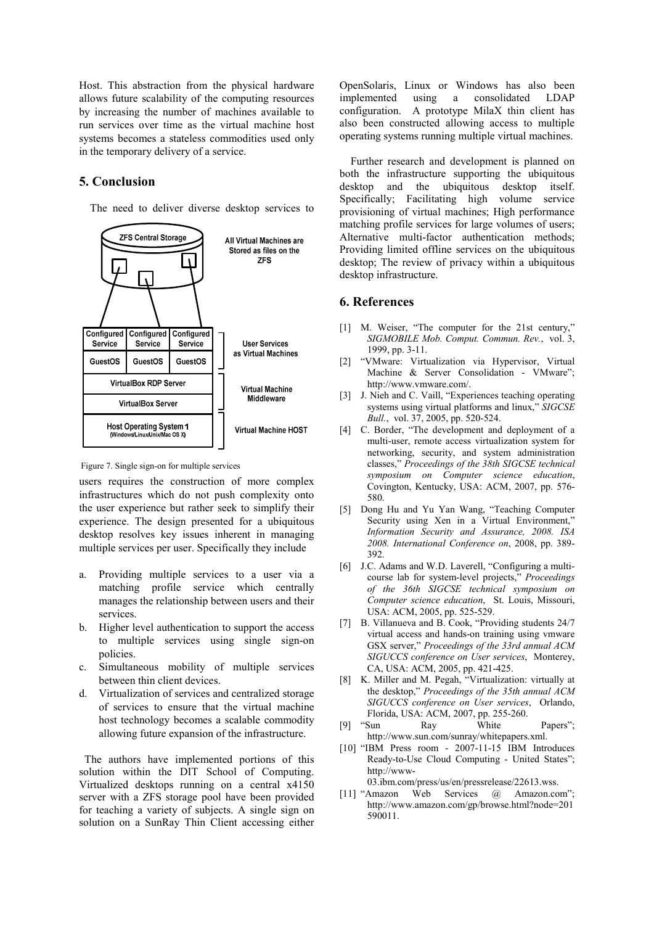Host. This abstraction from the physical hardware allows future scalability of the computing resources by increasing the number of machines available to run services over time as the virtual machine host systems becomes a stateless commodities used only in the temporary delivery of a service.

## **5. Conclusion**

The need to deliver diverse desktop services to



Figure 7. Single sign-on for multiple services

users requires the construction of more complex infrastructures which do not push complexity onto the user experience but rather seek to simplify their experience. The design presented for a ubiquitous desktop resolves key issues inherent in managing multiple services per user. Specifically they include

- a. Providing multiple services to a user via a matching profile service which centrally manages the relationship between users and their services.
- b. Higher level authentication to support the access to multiple services using single sign-on policies.
- c. Simultaneous mobility of multiple services between thin client devices.
- d. Virtualization of services and centralized storage of services to ensure that the virtual machine host technology becomes a scalable commodity allowing future expansion of the infrastructure.

 The authors have implemented portions of this solution within the DIT School of Computing. Virtualized desktops running on a central x4150 server with a ZFS storage pool have been provided for teaching a variety of subjects. A single sign on solution on a SunRay Thin Client accessing either OpenSolaris, Linux or Windows has also been implemented using a consolidated LDAP configuration. A prototype MilaX thin client has also been constructed allowing access to multiple operating systems running multiple virtual machines.

 Further research and development is planned on both the infrastructure supporting the ubiquitous desktop and the ubiquitous desktop itself. Specifically; Facilitating high volume service provisioning of virtual machines; High performance matching profile services for large volumes of users; Alternative multi-factor authentication methods; Providing limited offline services on the ubiquitous desktop; The review of privacy within a ubiquitous desktop infrastructure.

#### **6. References**

- [1] M. Weiser, "The computer for the 21st century," *SIGMOBILE Mob. Comput. Commun. Rev.*, vol. 3, 1999, pp. 3-11.
- [2] "VMware: Virtualization via Hypervisor, Virtual Machine & Server Consolidation - VMware"; http://www.vmware.com/.
- [3] J. Nieh and C. Vaill, "Experiences teaching operating systems using virtual platforms and linux," *SIGCSE Bull.*, vol. 37, 2005, pp. 520-524.
- [4] C. Border, "The development and deployment of a multi-user, remote access virtualization system for networking, security, and system administration classes," *Proceedings of the 38th SIGCSE technical symposium on Computer science education*, Covington, Kentucky, USA: ACM, 2007, pp. 576- 580.
- [5] Dong Hu and Yu Yan Wang, "Teaching Computer Security using Xen in a Virtual Environment," *Information Security and Assurance, 2008. ISA 2008. International Conference on*, 2008, pp. 389- 392.
- [6] J.C. Adams and W.D. Laverell, "Configuring a multicourse lab for system-level projects," *Proceedings of the 36th SIGCSE technical symposium on Computer science education*, St. Louis, Missouri, USA: ACM, 2005, pp. 525-529.
- [7] B. Villanueva and B. Cook, "Providing students 24/7 virtual access and hands-on training using vmware GSX server," *Proceedings of the 33rd annual ACM SIGUCCS conference on User services*, Monterey, CA, USA: ACM, 2005, pp. 421-425.
- [8] K. Miller and M. Pegah, "Virtualization: virtually at the desktop," *Proceedings of the 35th annual ACM SIGUCCS conference on User services*, Orlando, Florida, USA: ACM, 2007, pp. 255-260.
- [9] "Sun Ray White Papers"; http://www.sun.com/sunray/whitepapers.xml.
- [10] "IBM Press room 2007-11-15 IBM Introduces Ready-to-Use Cloud Computing - United States"; http://www-03.ibm.com/press/us/en/pressrelease/22613.wss.
- [11] "Amazon Web Services @ Amazon.com": http://www.amazon.com/gp/browse.html?node=201 590011.